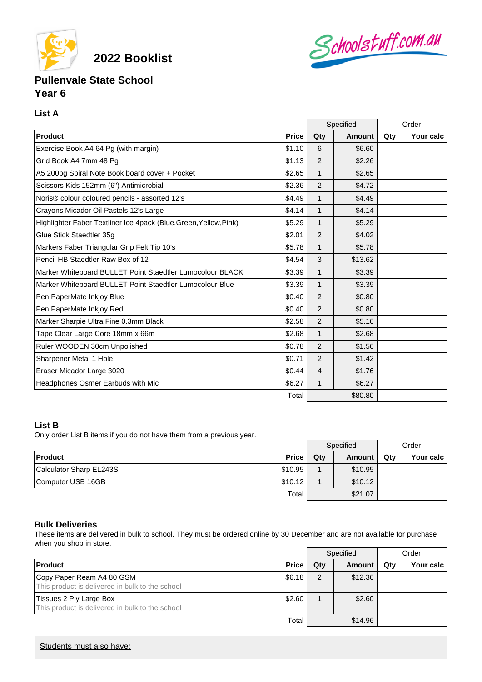

**2022 Booklist**

# Schoolstuff.com.au

## **Pullenvale State School Year 6**

### **List A**

|                                                                   |              | Specified      |               | Order |           |
|-------------------------------------------------------------------|--------------|----------------|---------------|-------|-----------|
| <b>Product</b>                                                    | <b>Price</b> | Qty            | <b>Amount</b> | Qty   | Your calc |
| Exercise Book A4 64 Pg (with margin)                              | \$1.10       | 6              | \$6.60        |       |           |
| Grid Book A4 7mm 48 Pg                                            | \$1.13       | 2              | \$2.26        |       |           |
| A5 200pg Spiral Note Book board cover + Pocket                    | \$2.65       | $\mathbf{1}$   | \$2.65        |       |           |
| Scissors Kids 152mm (6") Antimicrobial                            | \$2.36       | $\mathfrak{p}$ | \$4.72        |       |           |
| Noris® colour coloured pencils - assorted 12's                    | \$4.49       | 1              | \$4.49        |       |           |
| Crayons Micador Oil Pastels 12's Large                            | \$4.14       | $\mathbf{1}$   | \$4.14        |       |           |
| Highlighter Faber Textliner Ice 4pack (Blue, Green, Yellow, Pink) | \$5.29       | 1              | \$5.29        |       |           |
| Glue Stick Staedtler 35g                                          | \$2.01       | $\overline{2}$ | \$4.02        |       |           |
| Markers Faber Triangular Grip Felt Tip 10's                       | \$5.78       | $\mathbf{1}$   | \$5.78        |       |           |
| Pencil HB Staedtler Raw Box of 12                                 | \$4.54       | 3              | \$13.62       |       |           |
| Marker Whiteboard BULLET Point Staedtler Lumocolour BLACK         | \$3.39       | $\mathbf{1}$   | \$3.39        |       |           |
| Marker Whiteboard BULLET Point Staedtler Lumocolour Blue          | \$3.39       | $\mathbf{1}$   | \$3.39        |       |           |
| Pen PaperMate Inkjoy Blue                                         | \$0.40       | $\overline{2}$ | \$0.80        |       |           |
| Pen PaperMate Inkjoy Red                                          | \$0.40       | 2              | \$0.80        |       |           |
| Marker Sharpie Ultra Fine 0.3mm Black                             | \$2.58       | $\overline{2}$ | \$5.16        |       |           |
| Tape Clear Large Core 18mm x 66m                                  | \$2.68       | $\mathbf{1}$   | \$2.68        |       |           |
| Ruler WOODEN 30cm Unpolished                                      | \$0.78       | $\overline{2}$ | \$1.56        |       |           |
| Sharpener Metal 1 Hole                                            | \$0.71       | $\overline{2}$ | \$1.42        |       |           |
| Eraser Micador Large 3020                                         | \$0.44       | $\overline{4}$ | \$1.76        |       |           |
| Headphones Osmer Earbuds with Mic                                 | \$6.27       | $\mathbf{1}$   | \$6.27        |       |           |
|                                                                   | Total        | \$80.80        |               |       |           |

#### **List B**

Only order List B items if you do not have them from a previous year.

|                         | Specified    |     |         | Order |           |
|-------------------------|--------------|-----|---------|-------|-----------|
| <b>Product</b>          | <b>Price</b> | Qty | Amount  | Qtv   | Your calc |
| Calculator Sharp EL243S | \$10.95      |     | \$10.95 |       |           |
| Computer USB 16GB       | \$10.12      |     | \$10.12 |       |           |
|                         | Total        |     | \$21.07 |       |           |

#### **Bulk Deliveries**

These items are delivered in bulk to school. They must be ordered online by 30 December and are not available for purchase when you shop in store.

|                                                                              |              |     | Specified |     | Order       |  |
|------------------------------------------------------------------------------|--------------|-----|-----------|-----|-------------|--|
| <b>Product</b>                                                               | <b>Price</b> | Qty | Amount    | Qtv | Your calc I |  |
| Copy Paper Ream A4 80 GSM<br>This product is delivered in bulk to the school | \$6.18       | 2   | \$12.36   |     |             |  |
| Tissues 2 Ply Large Box<br>This product is delivered in bulk to the school   | \$2.60       |     | \$2.60    |     |             |  |
|                                                                              | Total        |     | \$14.96   |     |             |  |